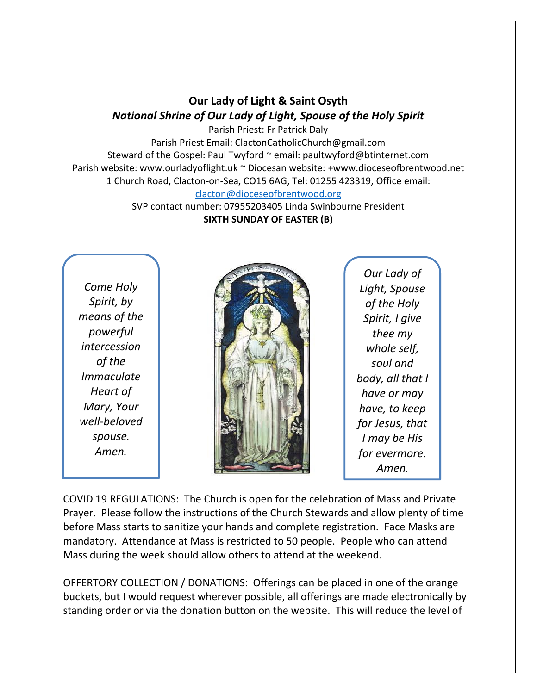## **Our Lady of Light & Saint Osyth** *National Shrine of Our Lady of Light, Spouse of the Holy Spirit*

Parish Priest: Fr Patrick Daly Parish Priest Email: ClactonCatholicChurch@gmail.com Steward of the Gospel: Paul Twyford ~ email: paultwyford@btinternet.com Parish website: www.ourladyoflight.uk ~ Diocesan website: +www.dioceseofbrentwood.net 1 Church Road, Clacton-on-Sea, CO15 6AG, Tel: 01255 423319, Office email: [clacton@dioceseofbrentwood.org](mailto:clacton@dioceseofbrentwood.org)

> SVP contact number: 07955203405 Linda Swinbourne President **SIXTH SUNDAY OF EASTER (B)**

*Come Holy Spirit, by means of the powerful intercession of the Immaculate Heart of Mary, Your well-beloved spouse. Amen.*



*Our Lady of Light, Spouse of the Holy Spirit, I give thee my whole self, soul and body, all that I have or may have, to keep for Jesus, that I may be His for evermore. Amen.*

COVID 19 REGULATIONS: The Church is open for the celebration of Mass and Private Prayer. Please follow the instructions of the Church Stewards and allow plenty of time before Mass starts to sanitize your hands and complete registration. Face Masks are mandatory. Attendance at Mass is restricted to 50 people. People who can attend Mass during the week should allow others to attend at the weekend.

OFFERTORY COLLECTION / DONATIONS: Offerings can be placed in one of the orange buckets, but I would request wherever possible, all offerings are made electronically by standing order or via the donation button on the website. This will reduce the level of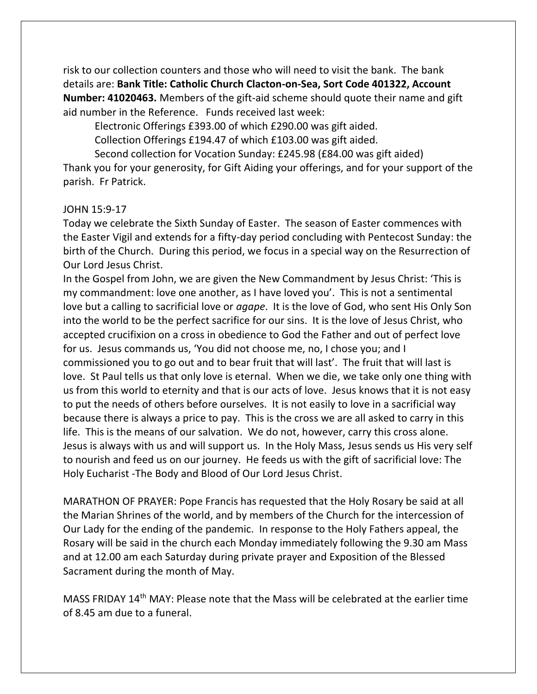risk to our collection counters and those who will need to visit the bank. The bank details are: **Bank Title: Catholic Church Clacton-on-Sea, Sort Code 401322, Account Number: 41020463.** Members of the gift-aid scheme should quote their name and gift aid number in the Reference. Funds received last week:

Electronic Offerings £393.00 of which £290.00 was gift aided.

Collection Offerings £194.47 of which £103.00 was gift aided.

Second collection for Vocation Sunday: £245.98 (£84.00 was gift aided)

Thank you for your generosity, for Gift Aiding your offerings, and for your support of the parish. Fr Patrick.

## JOHN 15:9-17

Today we celebrate the Sixth Sunday of Easter. The season of Easter commences with the Easter Vigil and extends for a fifty-day period concluding with Pentecost Sunday: the birth of the Church. During this period, we focus in a special way on the Resurrection of Our Lord Jesus Christ.

In the Gospel from John, we are given the New Commandment by Jesus Christ: 'This is my commandment: love one another, as I have loved you'. This is not a sentimental love but a calling to sacrificial love or *agape*. It is the love of God, who sent His Only Son into the world to be the perfect sacrifice for our sins. It is the love of Jesus Christ, who accepted crucifixion on a cross in obedience to God the Father and out of perfect love for us. Jesus commands us, 'You did not choose me, no, I chose you; and I commissioned you to go out and to bear fruit that will last'. The fruit that will last is love. St Paul tells us that only love is eternal. When we die, we take only one thing with us from this world to eternity and that is our acts of love. Jesus knows that it is not easy to put the needs of others before ourselves. It is not easily to love in a sacrificial way because there is always a price to pay. This is the cross we are all asked to carry in this life. This is the means of our salvation. We do not, however, carry this cross alone. Jesus is always with us and will support us. In the Holy Mass, Jesus sends us His very self to nourish and feed us on our journey. He feeds us with the gift of sacrificial love: The Holy Eucharist -The Body and Blood of Our Lord Jesus Christ.

MARATHON OF PRAYER: Pope Francis has requested that the Holy Rosary be said at all the Marian Shrines of the world, and by members of the Church for the intercession of Our Lady for the ending of the pandemic. In response to the Holy Fathers appeal, the Rosary will be said in the church each Monday immediately following the 9.30 am Mass and at 12.00 am each Saturday during private prayer and Exposition of the Blessed Sacrament during the month of May.

MASS FRIDAY 14th MAY: Please note that the Mass will be celebrated at the earlier time of 8.45 am due to a funeral.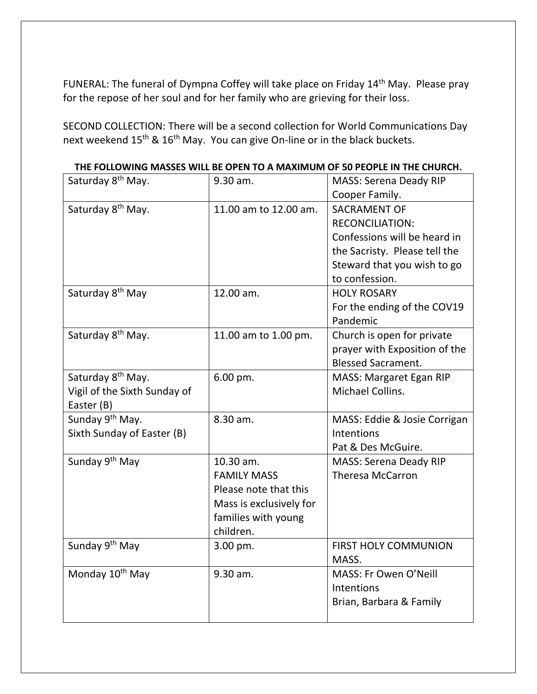FUNERAL: The funeral of Dympna Coffey will take place on Friday 14th May. Please pray for the repose of her soul and for her family who are grieving for their loss.

SECOND COLLECTION: There will be a second collection for World Communications Day next weekend 15<sup>th</sup> & 16<sup>th</sup> May. You can give On-line or in the black buckets.

| Saturday 8 <sup>th</sup> May. | 9.30 am.                | <b>MASS: Serena Deady RIP</b> |
|-------------------------------|-------------------------|-------------------------------|
|                               |                         | Cooper Family.                |
| Saturday 8 <sup>th</sup> May. | 11.00 am to 12.00 am.   | <b>SACRAMENT OF</b>           |
|                               |                         | <b>RECONCILIATION:</b>        |
|                               |                         | Confessions will be heard in  |
|                               |                         | the Sacristy. Please tell the |
|                               |                         | Steward that you wish to go   |
|                               |                         | to confession.                |
| Saturday 8 <sup>th</sup> May  | 12.00 am.               | <b>HOLY ROSARY</b>            |
|                               |                         | For the ending of the COV19   |
|                               |                         | Pandemic                      |
| Saturday 8 <sup>th</sup> May. | 11.00 am to 1.00 pm.    | Church is open for private    |
|                               |                         | prayer with Exposition of the |
|                               |                         | <b>Blessed Sacrament.</b>     |
| Saturday 8 <sup>th</sup> May. | 6.00 pm.                | MASS: Margaret Egan RIP       |
| Vigil of the Sixth Sunday of  |                         | Michael Collins.              |
| Easter (B)                    |                         |                               |
| Sunday 9 <sup>th</sup> May.   | 8.30 am.                | MASS: Eddie & Josie Corrigan  |
| Sixth Sunday of Easter (B)    |                         | Intentions                    |
|                               |                         | Pat & Des McGuire.            |
| Sunday 9 <sup>th</sup> May    | 10.30 am.               | <b>MASS: Serena Deady RIP</b> |
|                               | <b>FAMILY MASS</b>      | <b>Theresa McCarron</b>       |
|                               | Please note that this   |                               |
|                               | Mass is exclusively for |                               |
|                               | families with young     |                               |
|                               | children.               |                               |
| Sunday 9 <sup>th</sup> May    | 3.00 pm.                | FIRST HOLY COMMUNION          |
|                               |                         | MASS.                         |
| Monday 10 <sup>th</sup> May   | 9.30 am.                | MASS: Fr Owen O'Neill         |
|                               |                         | Intentions                    |
|                               |                         | Brian, Barbara & Family       |
|                               |                         |                               |

**THE FOLLOWING MASSES WILL BE OPEN TO A MAXIMUM OF 50 PEOPLE IN THE CHURCH.**